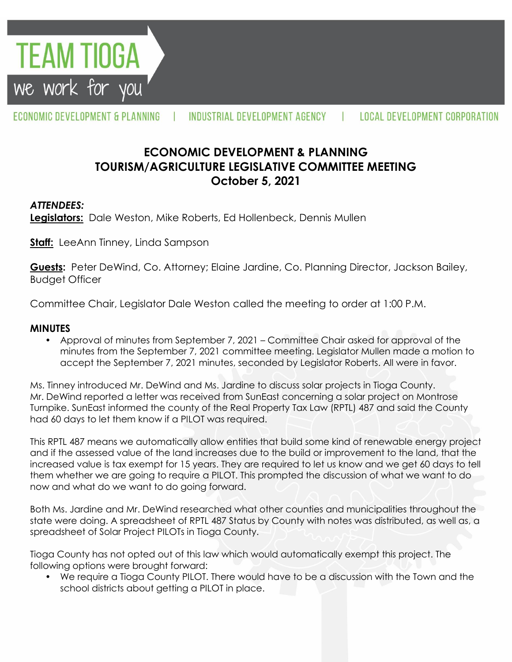

ECONOMIC DEVELOPMENT & PLANNING INDUSTRIAL DEVELOPMENT AGENCY

 $\mathbf{1}$ 

# **ECONOMIC DEVELOPMENT & PLANNING TOURISM/AGRICULTURE LEGISLATIVE COMMITTEE MEETING October 5, 2021**

### *ATTENDEES:*

**Legislators:** Dale Weston, Mike Roberts, Ed Hollenbeck, Dennis Mullen

**Staff:** LeeAnn Tinney, Linda Sampson

**Guests:** Peter DeWind, Co. Attorney; Elaine Jardine, Co. Planning Director, Jackson Bailey, Budget Officer

Committee Chair, Legislator Dale Weston called the meeting to order at 1:00 P.M.

#### **MINUTES**

• Approval of minutes from September 7, 2021 – Committee Chair asked for approval of the minutes from the September 7, 2021 committee meeting. Legislator Mullen made a motion to accept the September 7, 2021 minutes, seconded by Legislator Roberts. All were in favor.

Ms. Tinney introduced Mr. DeWind and Ms. Jardine to discuss solar projects in Tioga County. Mr. DeWind reported a letter was received from SunEast concerning a solar project on Montrose Turnpike. SunEast informed the county of the Real Property Tax Law (RPTL) 487 and said the County had 60 days to let them know if a PILOT was required.

This RPTL 487 means we automatically allow entities that build some kind of renewable energy project and if the assessed value of the land increases due to the build or improvement to the land, that the increased value is tax exempt for 15 years. They are required to let us know and we get 60 days to tell them whether we are going to require a PILOT. This prompted the discussion of what we want to do now and what do we want to do going forward.

Both Ms. Jardine and Mr. DeWind researched what other counties and municipalities throughout the state were doing. A spreadsheet of RPTL 487 Status by County with notes was distributed, as well as, a spreadsheet of Solar Project PILOTs in Tioga County.

Tioga County has not opted out of this law which would automatically exempt this project. The following options were brought forward:

• We require a Tioga County PILOT. There would have to be a discussion with the Town and the school districts about getting a PILOT in place.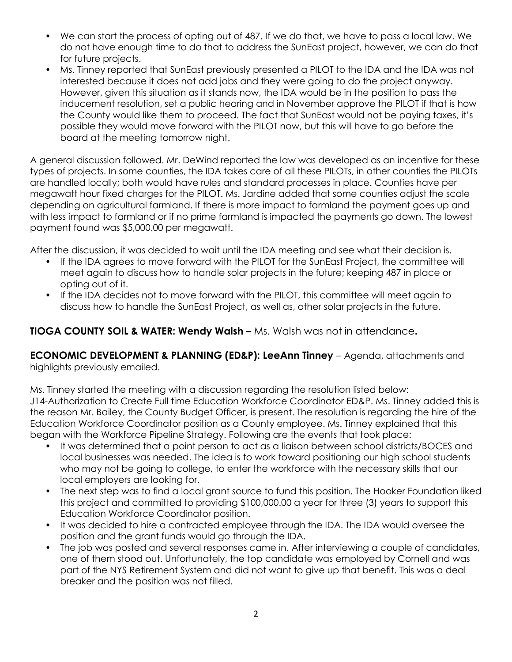- We can start the process of opting out of 487. If we do that, we have to pass a local law. We do not have enough time to do that to address the SunEast project, however, we can do that for future projects.
- Ms. Tinney reported that SunEast previously presented a PILOT to the IDA and the IDA was not interested because it does not add jobs and they were going to do the project anyway. However, given this situation as it stands now, the IDA would be in the position to pass the inducement resolution, set a public hearing and in November approve the PILOT if that is how the County would like them to proceed. The fact that SunEast would not be paying taxes, it's possible they would move forward with the PILOT now, but this will have to go before the board at the meeting tomorrow night.

A general discussion followed. Mr. DeWind reported the law was developed as an incentive for these types of projects. In some counties, the IDA takes care of all these PILOTs, in other counties the PILOTs are handled locally; both would have rules and standard processes in place. Counties have per megawatt hour fixed charges for the PILOT. Ms. Jardine added that some counties adjust the scale depending on agricultural farmland. If there is more impact to farmland the payment goes up and with less impact to farmland or if no prime farmland is impacted the payments go down. The lowest payment found was \$5,000.00 per megawatt.

After the discussion, it was decided to wait until the IDA meeting and see what their decision is.

- If the IDA agrees to move forward with the PILOT for the SunEast Project, the committee will meet again to discuss how to handle solar projects in the future; keeping 487 in place or opting out of it.
- If the IDA decides not to move forward with the PILOT, this committee will meet again to discuss how to handle the SunEast Project, as well as, other solar projects in the future.

## **TIOGA COUNTY SOIL & WATER: Wendy Walsh –** Ms. Walsh was not in attendance**.**

**ECONOMIC DEVELOPMENT & PLANNING (ED&P): LeeAnn Tinney** – Agenda, attachments and highlights previously emailed.

Ms. Tinney started the meeting with a discussion regarding the resolution listed below: J14-Authorization to Create Full time Education Workforce Coordinator ED&P. Ms. Tinney added this is the reason Mr. Bailey, the County Budget Officer, is present. The resolution is regarding the hire of the Education Workforce Coordinator position as a County employee. Ms. Tinney explained that this began with the Workforce Pipeline Strategy. Following are the events that took place:

- It was determined that a point person to act as a liaison between school districts/BOCES and local businesses was needed. The idea is to work toward positioning our high school students who may not be going to college, to enter the workforce with the necessary skills that our local employers are looking for.
- The next step was to find a local grant source to fund this position. The Hooker Foundation liked this project and committed to providing \$100,000.00 a year for three (3) years to support this Education Workforce Coordinator position.
- It was decided to hire a contracted employee through the IDA. The IDA would oversee the position and the grant funds would go through the IDA.
- The job was posted and several responses came in. After interviewing a couple of candidates, one of them stood out. Unfortunately, the top candidate was employed by Cornell and was part of the NYS Retirement System and did not want to give up that benefit. This was a deal breaker and the position was not filled.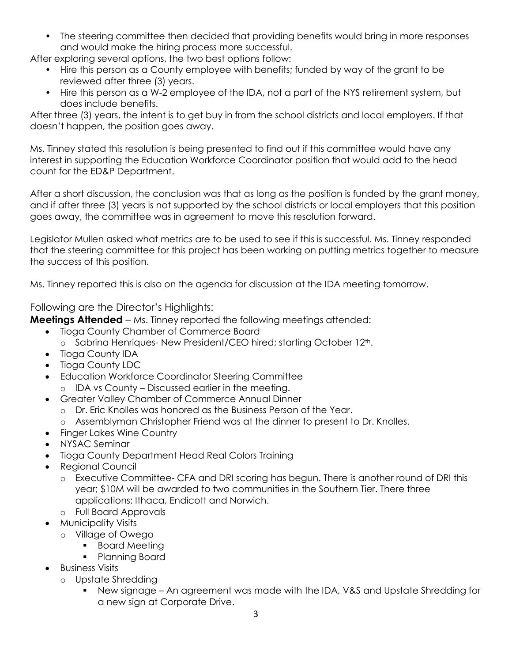• The steering committee then decided that providing benefits would bring in more responses and would make the hiring process more successful.

After exploring several options, the two best options follow:

- Hire this person as a County employee with benefits; funded by way of the grant to be reviewed after three (3) years.
- Hire this person as a W-2 employee of the IDA, not a part of the NYS retirement system, but does include benefits.

After three (3) years, the intent is to get buy in from the school districts and local employers. If that doesn't happen, the position goes away.

Ms. Tinney stated this resolution is being presented to find out if this committee would have any interest in supporting the Education Workforce Coordinator position that would add to the head count for the ED&P Department.

After a short discussion, the conclusion was that as long as the position is funded by the grant money, and if after three (3) years is not supported by the school districts or local employers that this position goes away, the committee was in agreement to move this resolution forward.

Legislator Mullen asked what metrics are to be used to see if this is successful. Ms. Tinney responded that the steering committee for this project has been working on putting metrics together to measure the success of this position.

Ms. Tinney reported this is also on the agenda for discussion at the IDA meeting tomorrow.

Following are the Director's Highlights:

**Meetings Attended** – Ms. Tinney reported the following meetings attended:

- Tioga County Chamber of Commerce Board
	- o Sabrina Henriques- New President/CEO hired; starting October 12th.
- Tioga County IDA
- Tioga County LDC
- Education Workforce Coordinator Steering Committee
	- o IDA vs County Discussed earlier in the meeting.
- Greater Valley Chamber of Commerce Annual Dinner
	- o Dr. Eric Knolles was honored as the Business Person of the Year.
	- o Assemblyman Christopher Friend was at the dinner to present to Dr. Knolles.
- Finger Lakes Wine Country
- NYSAC Seminar
- Tioga County Department Head Real Colors Training
- Regional Council
	- o Executive Committee- CFA and DRI scoring has begun. There is another round of DRI this year; \$10M will be awarded to two communities in the Southern Tier. There three applications: Ithaca, Endicott and Norwich.
	- o Full Board Approvals
- Municipality Visits
	- o Village of Owego
		- **Board Meeting**
		- Planning Board
- Business Visits
	- o Upstate Shredding
		- New signage An agreement was made with the IDA, V&S and Upstate Shredding for a new sign at Corporate Drive.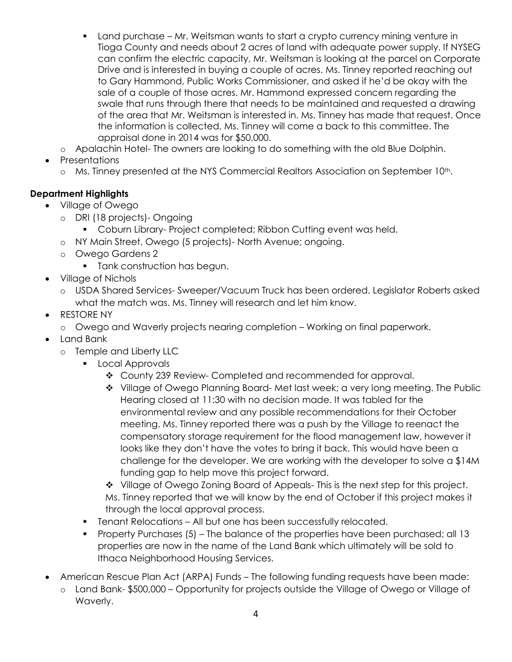- Land purchase Mr. Weitsman wants to start a crypto currency mining venture in Tioga County and needs about 2 acres of land with adequate power supply. If NYSEG can confirm the electric capacity, Mr. Weitsman is looking at the parcel on Corporate Drive and is interested in buying a couple of acres. Ms. Tinney reported reaching out to Gary Hammond, Public Works Commissioner, and asked if he'd be okay with the sale of a couple of those acres. Mr. Hammond expressed concern regarding the swale that runs through there that needs to be maintained and requested a drawing of the area that Mr. Weitsman is interested in. Ms. Tinney has made that request. Once the information is collected, Ms. Tinney will come a back to this committee. The appraisal done in 2014 was for \$50,000.
- o Apalachin Hotel- The owners are looking to do something with the old Blue Dolphin.
- Presentations
	- o Ms. Tinney presented at the NYS Commercial Realtors Association on September 10<sup>th</sup>.

#### **Department Highlights**

- Village of Owego
	- o DRI (18 projects)- Ongoing
		- **Coburn Library-Project completed; Ribbon Cutting event was held.**
	- o NY Main Street, Owego (5 projects)- North Avenue; ongoing.
	- o Owego Gardens 2
		- **Tank construction has begun.**
- Village of Nichols
	- o USDA Shared Services- Sweeper/Vacuum Truck has been ordered. Legislator Roberts asked what the match was. Ms. Tinney will research and let him know.
- RESTORE NY
	- o Owego and Waverly projects nearing completion Working on final paperwork.
- Land Bank
	- o Temple and Liberty LLC
		- **Local Approvals** 
			- County 239 Review- Completed and recommended for approval.
			- \* Village of Owego Planning Board-Met last week; a very long meeting. The Public Hearing closed at 11:30 with no decision made. It was tabled for the environmental review and any possible recommendations for their October meeting. Ms. Tinney reported there was a push by the Village to reenact the compensatory storage requirement for the flood management law, however it looks like they don't have the votes to bring it back. This would have been a challenge for the developer. We are working with the developer to solve a \$14M funding gap to help move this project forward.

• Village of Owego Zoning Board of Appeals- This is the next step for this project. Ms. Tinney reported that we will know by the end of October if this project makes it through the local approval process.

- Tenant Relocations All but one has been successfully relocated.
- Property Purchases (5) The balance of the properties have been purchased; all 13 properties are now in the name of the Land Bank which ultimately will be sold to Ithaca Neighborhood Housing Services.
- American Rescue Plan Act (ARPA) Funds The following funding requests have been made:
	- o Land Bank- \$500,000 Opportunity for projects outside the Village of Owego or Village of Waverly.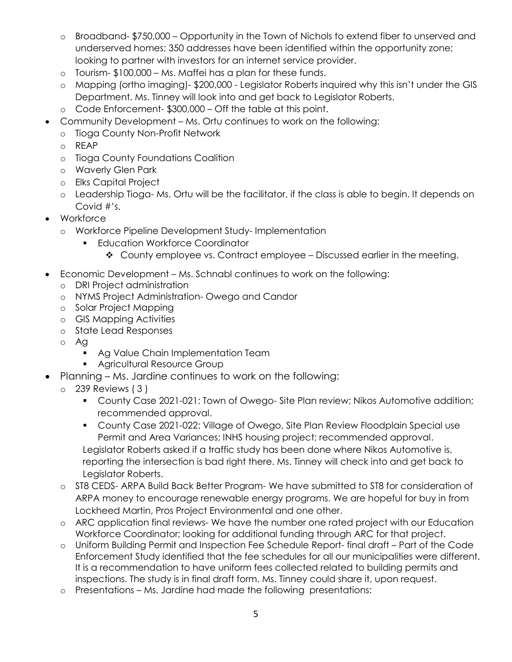- o Broadband- \$750,000 Opportunity in the Town of Nichols to extend fiber to unserved and underserved homes; 350 addresses have been identified within the opportunity zone; looking to partner with investors for an internet service provider.
- o Tourism- \$100,000 Ms. Maffei has a plan for these funds.
- o Mapping (ortho imaging)- \$200,000 Legislator Roberts inquired why this isn't under the GIS Department. Ms. Tinney will look into and get back to Legislator Roberts.
- o Code Enforcement- \$300,000 Off the table at this point.
- Community Development Ms. Ortu continues to work on the following:
	- o Tioga County Non-Profit Network
	- o REAP
	- o Tioga County Foundations Coalition
	- o Waverly Glen Park
	- o Elks Capital Project
	- o Leadership Tioga- Ms. Ortu will be the facilitator, if the class is able to begin. It depends on Covid #'s.
- Workforce
	- o Workforce Pipeline Development Study- Implementation
		- **Education Workforce Coordinator** 
			- $\triangle$  County employee vs. Contract employee Discussed earlier in the meeting.
- Economic Development Ms. Schnabl continues to work on the following:
	- o DRI Project administration
	- o NYMS Project Administration- Owego and Candor
	- o Solar Project Mapping
	- o GIS Mapping Activities
	- o State Lead Responses
	- o Ag
		- **Ag Value Chain Implementation Team**
		- **Agricultural Resource Group**
- Planning Ms. Jardine continues to work on the following:
	- o 239 Reviews ( 3 )
		- County Case 2021-021: Town of Owego- Site Plan review; Nikos Automotive addition; recommended approval.
		- County Case 2021-022: Village of Owego, Site Plan Review Floodplain Special use Permit and Area Variances; INHS housing project; recommended approval. Legislator Roberts asked if a traffic study has been done where Nikos Automotive is, reporting the intersection is bad right there. Ms. Tinney will check into and get back to Legislator Roberts.
	- o ST8 CEDS- ARPA Build Back Better Program- We have submitted to ST8 for consideration of ARPA money to encourage renewable energy programs. We are hopeful for buy in from Lockheed Martin, Pros Project Environmental and one other.
	- o ARC application final reviews- We have the number one rated project with our Education Workforce Coordinator; looking for additional funding through ARC for that project.
	- o Uniform Building Permit and Inspection Fee Schedule Report- final draft Part of the Code Enforcement Study identified that the fee schedules for all our municipalities were different. It is a recommendation to have uniform fees collected related to building permits and inspections. The study is in final draft form. Ms. Tinney could share it, upon request.
	- o Presentations Ms. Jardine had made the following presentations: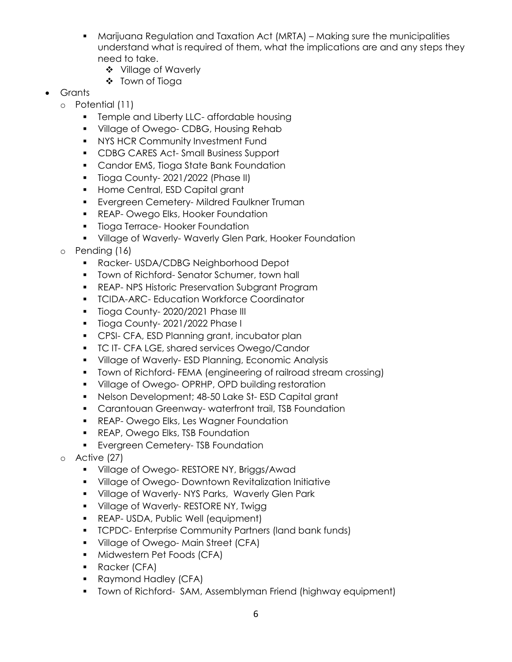- Marijuana Regulation and Taxation Act (MRTA) Making sure the municipalities understand what is required of them, what the implications are and any steps they need to take.
	- ❖ Village of Waverly
	- ❖ Town of Tioga
- **Grants** 
	- o Potential (11)
		- **Temple and Liberty LLC- affordable housing**
		- **Village of Owego- CDBG, Housing Rehab**
		- **NYS HCR Community Investment Fund**
		- **CDBG CARES Act-Small Business Support**
		- **Candor EMS, Tioga State Bank Foundation**
		- **Tioga County-2021/2022 (Phase II)**
		- Home Central, ESD Capital grant
		- **Exergreen Cemetery-Mildred Faulkner Truman**
		- **REAP- Owego Elks, Hooker Foundation**
		- **Tioga Terrace- Hooker Foundation**
		- **Village of Waverly- Waverly Glen Park, Hooker Foundation**
	- o Pending (16)
		- **Racker- USDA/CDBG Neighborhood Depot**
		- **Town of Richford- Senator Schumer, town hall**
		- **REAP- NPS Historic Preservation Subgrant Program**
		- **TCIDA-ARC- Education Workforce Coordinator**
		- **Tioga County-2020/2021 Phase III**
		- Tioga County-2021/2022 Phase I
		- **CPSI- CFA, ESD Planning grant, incubator plan**
		- **TC IT- CFA LGE, shared services Owego/Candor**
		- **Village of Waverly-ESD Planning, Economic Analysis**
		- **Town of Richford- FEMA (engineering of railroad stream crossing)**
		- **Village of Owego- OPRHP, OPD building restoration**
		- Nelson Development; 48-50 Lake St- ESD Capital grant
		- **EXEC** Carantouan Greenway- waterfront trail, TSB Foundation
		- **REAP- Owego Elks, Les Wagner Foundation**
		- **REAP, Owego Elks, TSB Foundation**
		- **Evergreen Cemetery-TSB Foundation**
	- o Active (27)
		- **Village of Owego- RESTORE NY, Briggs/Awad**
		- **•** Village of Owego- Downtown Revitalization Initiative
		- **Village of Waverly-NYS Parks, Waverly Glen Park**
		- **Village of Waverly- RESTORE NY, Twigg**
		- **REAP- USDA, Public Well (equipment)**
		- **TCPDC- Enterprise Community Partners (land bank funds)**
		- **Village of Owego-Main Street (CFA)**
		- **Midwestern Pet Foods (CFA)**
		- **Racker (CFA)**
		- Raymond Hadley (CFA)
		- **The Stude Stude Communism** Town of Richford- SAM, Assemblyman Friend (highway equipment)